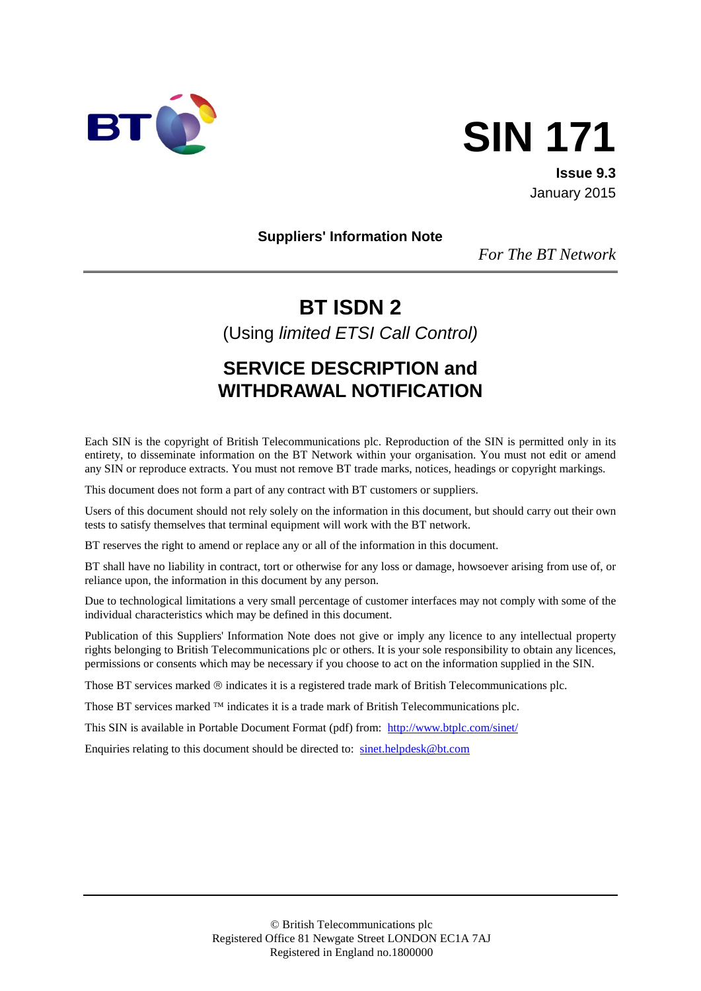



**Issue 9.3** January 2015

**Suppliers' Information Note**

*For The BT Network*

# **BT ISDN 2**

(Using *limited ETSI Call Control)*

# **SERVICE DESCRIPTION and WITHDRAWAL NOTIFICATION**

Each SIN is the copyright of British Telecommunications plc. Reproduction of the SIN is permitted only in its entirety, to disseminate information on the BT Network within your organisation. You must not edit or amend any SIN or reproduce extracts. You must not remove BT trade marks, notices, headings or copyright markings.

This document does not form a part of any contract with BT customers or suppliers.

Users of this document should not rely solely on the information in this document, but should carry out their own tests to satisfy themselves that terminal equipment will work with the BT network.

BT reserves the right to amend or replace any or all of the information in this document.

BT shall have no liability in contract, tort or otherwise for any loss or damage, howsoever arising from use of, or reliance upon, the information in this document by any person.

Due to technological limitations a very small percentage of customer interfaces may not comply with some of the individual characteristics which may be defined in this document.

Publication of this Suppliers' Information Note does not give or imply any licence to any intellectual property rights belonging to British Telecommunications plc or others. It is your sole responsibility to obtain any licences, permissions or consents which may be necessary if you choose to act on the information supplied in the SIN.

Those BT services marked  $\circledcirc$  indicates it is a registered trade mark of British Telecommunications plc.

Those BT services marked  $TM$  indicates it is a trade mark of British Telecommunications plc.

This SIN is available in Portable Document Format (pdf) from: <http://www.btplc.com/sinet/>

Enquiries relating to this document should be directed to: [sinet.helpdesk@bt.com](mailto:sinet.helpdesk@bt.com)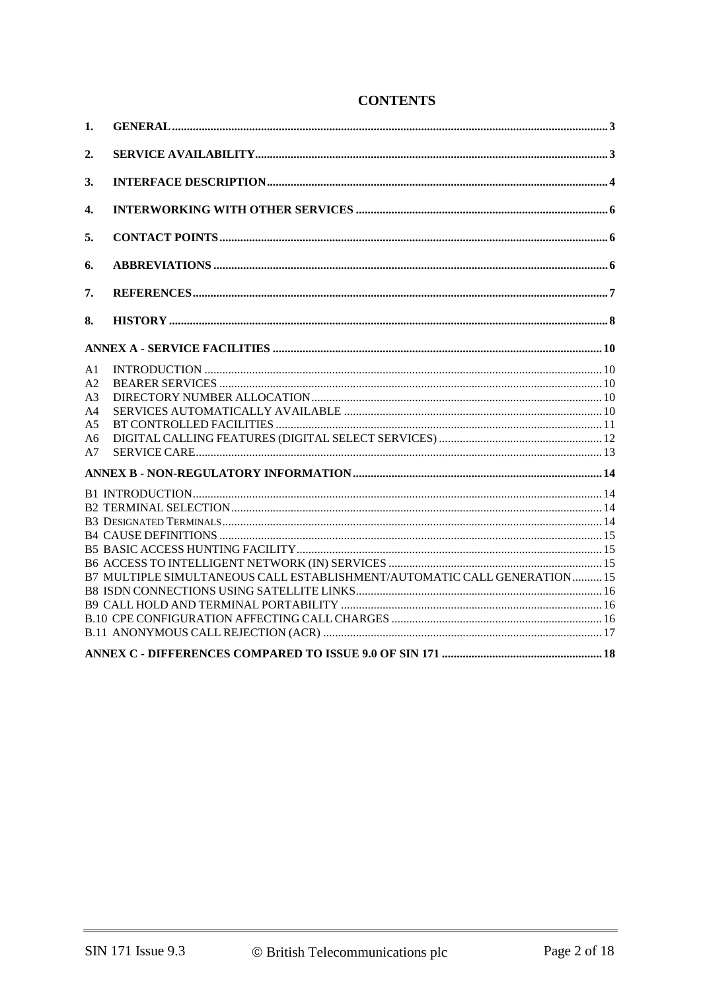| 1.                                     |                                                                          |  |
|----------------------------------------|--------------------------------------------------------------------------|--|
| 2.                                     |                                                                          |  |
| 3.                                     |                                                                          |  |
| 4.                                     |                                                                          |  |
| 5.                                     |                                                                          |  |
| 6.                                     |                                                                          |  |
| 7.                                     |                                                                          |  |
| 8.                                     |                                                                          |  |
|                                        |                                                                          |  |
| A1<br>A <sub>2</sub><br>A <sub>3</sub> |                                                                          |  |
| A <sub>4</sub><br>A <sub>5</sub><br>A6 |                                                                          |  |
| A7                                     |                                                                          |  |
|                                        |                                                                          |  |
|                                        |                                                                          |  |
|                                        |                                                                          |  |
|                                        | B7 MULTIPLE SIMULTANEOUS CALL ESTABLISHMENT/AUTOMATIC CALL GENERATION 15 |  |
|                                        |                                                                          |  |
|                                        |                                                                          |  |

# **CONTENTS**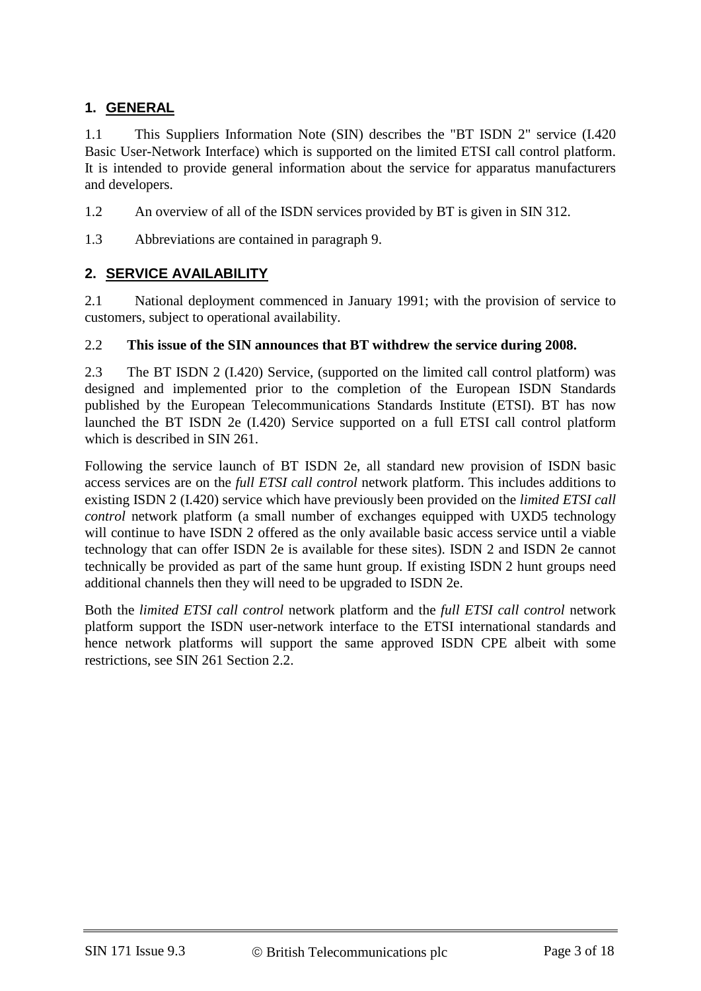# **1. GENERAL**

1.1 This Suppliers Information Note (SIN) describes the "BT ISDN 2" service (I.420 Basic User-Network Interface) which is supported on the limited ETSI call control platform. It is intended to provide general information about the service for apparatus manufacturers and developers.

1.2 An overview of all of the ISDN services provided by BT is given in SIN 312.

1.3 Abbreviations are contained in paragraph 9.

# **2. SERVICE AVAILABILITY**

2.1 National deployment commenced in January 1991; with the provision of service to customers, subject to operational availability.

#### 2.2 **This issue of the SIN announces that BT withdrew the service during 2008.**

2.3 The BT ISDN 2 (I.420) Service, (supported on the limited call control platform) was designed and implemented prior to the completion of the European ISDN Standards published by the European Telecommunications Standards Institute (ETSI). BT has now launched the BT ISDN 2e (I.420) Service supported on a full ETSI call control platform which is described in SIN 261.

Following the service launch of BT ISDN 2e, all standard new provision of ISDN basic access services are on the *full ETSI call control* network platform. This includes additions to existing ISDN 2 (I.420) service which have previously been provided on the *limited ETSI call control* network platform (a small number of exchanges equipped with UXD5 technology will continue to have ISDN 2 offered as the only available basic access service until a viable technology that can offer ISDN 2e is available for these sites). ISDN 2 and ISDN 2e cannot technically be provided as part of the same hunt group. If existing ISDN 2 hunt groups need additional channels then they will need to be upgraded to ISDN 2e.

Both the *limited ETSI call control* network platform and the *full ETSI call control* network platform support the ISDN user-network interface to the ETSI international standards and hence network platforms will support the same approved ISDN CPE albeit with some restrictions, see SIN 261 Section 2.2.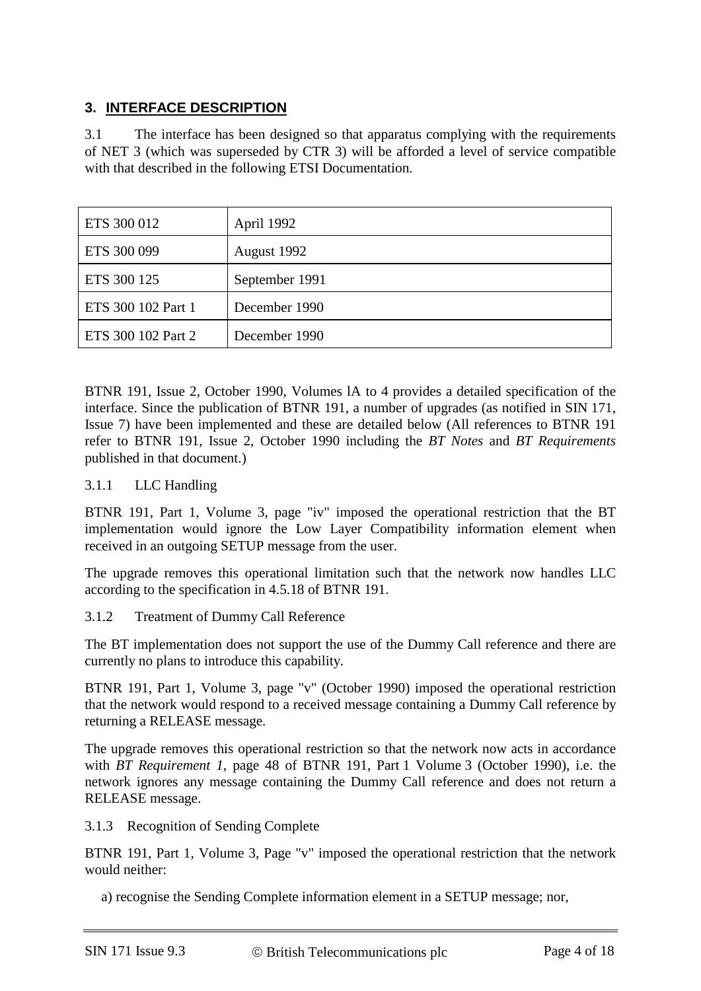# **3. INTERFACE DESCRIPTION**

3.1 The interface has been designed so that apparatus complying with the requirements of NET 3 (which was superseded by CTR 3) will be afforded a level of service compatible with that described in the following ETSI Documentation.

| ETS 300 012        | April 1992     |
|--------------------|----------------|
| ETS 300 099        | August 1992    |
| ETS 300 125        | September 1991 |
| ETS 300 102 Part 1 | December 1990  |
| ETS 300 102 Part 2 | December 1990  |

BTNR 191, Issue 2, October 1990, Volumes lA to 4 provides a detailed specification of the interface. Since the publication of BTNR 191, a number of upgrades (as notified in SIN 171, Issue 7) have been implemented and these are detailed below (All references to BTNR 191 refer to BTNR 191, Issue 2, October 1990 including the *BT Notes* and *BT Requirements*  published in that document.)

### 3.1.1 LLC Handling

BTNR 191, Part 1, Volume 3, page "iv" imposed the operational restriction that the BT implementation would ignore the Low Layer Compatibility information element when received in an outgoing SETUP message from the user.

The upgrade removes this operational limitation such that the network now handles LLC according to the specification in 4.5.18 of BTNR 191.

#### 3.1.2 Treatment of Dummy Call Reference

The BT implementation does not support the use of the Dummy Call reference and there are currently no plans to introduce this capability.

BTNR 191, Part 1, Volume 3, page "v" (October 1990) imposed the operational restriction that the network would respond to a received message containing a Dummy Call reference by returning a RELEASE message.

The upgrade removes this operational restriction so that the network now acts in accordance with *BT Requirement 1*, page 48 of BTNR 191, Part 1 Volume 3 (October 1990), i.e. the network ignores any message containing the Dummy Call reference and does not return a RELEASE message.

#### 3.1.3 Recognition of Sending Complete

BTNR 191, Part 1, Volume 3, Page "v" imposed the operational restriction that the network would neither:

a) recognise the Sending Complete information element in a SETUP message; nor,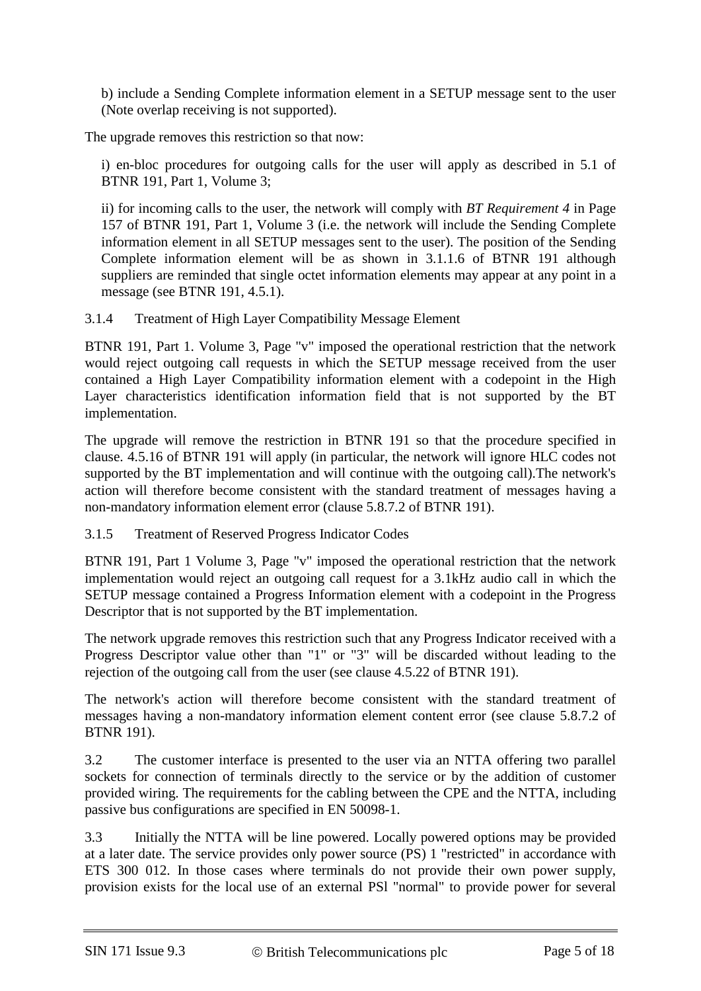b) include a Sending Complete information element in a SETUP message sent to the user (Note overlap receiving is not supported).

The upgrade removes this restriction so that now:

i) en-bloc procedures for outgoing calls for the user will apply as described in 5.1 of BTNR 191, Part 1, Volume 3;

ii) for incoming calls to the user, the network will comply with *BT Requirement 4* in Page 157 of BTNR 191, Part 1, Volume 3 (i.e. the network will include the Sending Complete information element in all SETUP messages sent to the user). The position of the Sending Complete information element will be as shown in 3.1.1.6 of BTNR 191 although suppliers are reminded that single octet information elements may appear at any point in a message (see BTNR 191, 4.5.1).

#### 3.1.4 Treatment of High Layer Compatibility Message Element

BTNR 191, Part 1. Volume 3, Page "v" imposed the operational restriction that the network would reject outgoing call requests in which the SETUP message received from the user contained a High Layer Compatibility information element with a codepoint in the High Layer characteristics identification information field that is not supported by the BT implementation.

The upgrade will remove the restriction in BTNR 191 so that the procedure specified in clause. 4.5.16 of BTNR 191 will apply (in particular, the network will ignore HLC codes not supported by the BT implementation and will continue with the outgoing call).The network's action will therefore become consistent with the standard treatment of messages having a non-mandatory information element error (clause 5.8.7.2 of BTNR 191).

#### 3.1.5 Treatment of Reserved Progress Indicator Codes

BTNR 191, Part 1 Volume 3, Page "v" imposed the operational restriction that the network implementation would reject an outgoing call request for a 3.1kHz audio call in which the SETUP message contained a Progress Information element with a codepoint in the Progress Descriptor that is not supported by the BT implementation.

The network upgrade removes this restriction such that any Progress Indicator received with a Progress Descriptor value other than "1" or "3" will be discarded without leading to the rejection of the outgoing call from the user (see clause 4.5.22 of BTNR 191).

The network's action will therefore become consistent with the standard treatment of messages having a non-mandatory information element content error (see clause 5.8.7.2 of BTNR 191).

3.2 The customer interface is presented to the user via an NTTA offering two parallel sockets for connection of terminals directly to the service or by the addition of customer provided wiring. The requirements for the cabling between the CPE and the NTTA, including passive bus configurations are specified in EN 50098-1.

3.3 Initially the NTTA will be line powered. Locally powered options may be provided at a later date. The service provides only power source (PS) 1 "restricted" in accordance with ETS 300 012. In those cases where terminals do not provide their own power supply, provision exists for the local use of an external PSl "normal" to provide power for several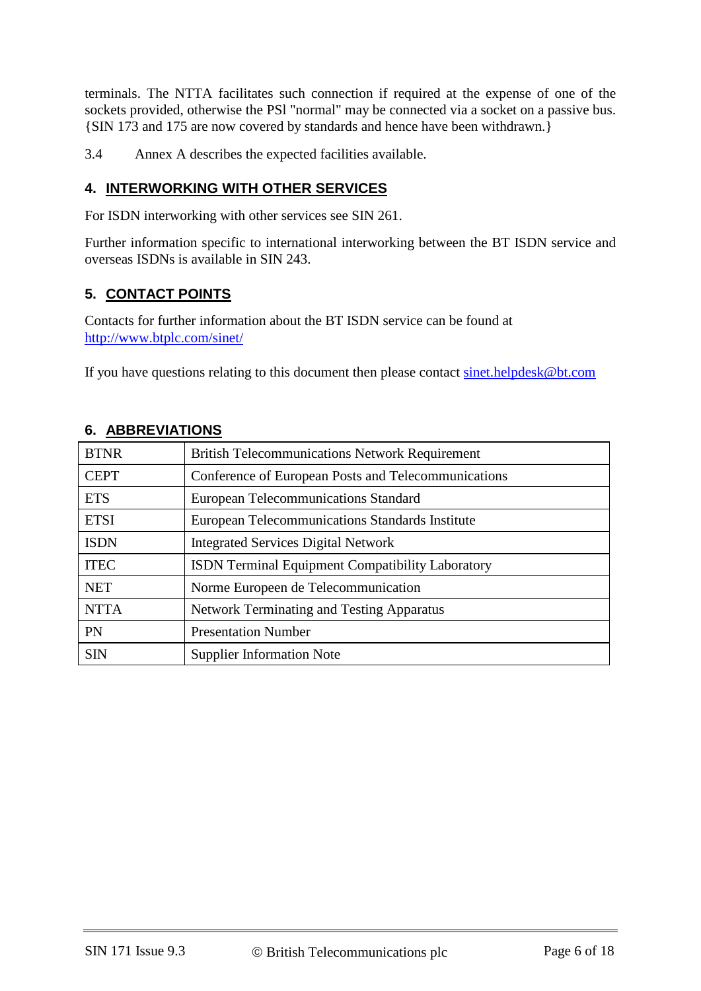terminals. The NTTA facilitates such connection if required at the expense of one of the sockets provided, otherwise the PSl "normal" may be connected via a socket on a passive bus. {SIN 173 and 175 are now covered by standards and hence have been withdrawn.}

3.4 Annex A describes the expected facilities available.

# **4. INTERWORKING WITH OTHER SERVICES**

For ISDN interworking with other services see SIN 261.

Further information specific to international interworking between the BT ISDN service and overseas ISDNs is available in SIN 243.

# **5. CONTACT POINTS**

Contacts for further information about the BT ISDN service can be found at <http://www.btplc.com/sinet/>

If you have questions relating to this document then please contact [sinet.helpdesk@bt.com](mailto:sinet.helpdesk@bt.com)

| <b>BTNR</b> | <b>British Telecommunications Network Requirement</b>   |
|-------------|---------------------------------------------------------|
| <b>CEPT</b> | Conference of European Posts and Telecommunications     |
| <b>ETS</b>  | <b>European Telecommunications Standard</b>             |
| <b>ETSI</b> | European Telecommunications Standards Institute         |
| <b>ISDN</b> | <b>Integrated Services Digital Network</b>              |
| <b>ITEC</b> | <b>ISDN</b> Terminal Equipment Compatibility Laboratory |
| <b>NET</b>  | Norme Europeen de Telecommunication                     |
| <b>NTTA</b> | <b>Network Terminating and Testing Apparatus</b>        |
| PN          | <b>Presentation Number</b>                              |
| <b>SIN</b>  | <b>Supplier Information Note</b>                        |

#### **6. ABBREVIATIONS**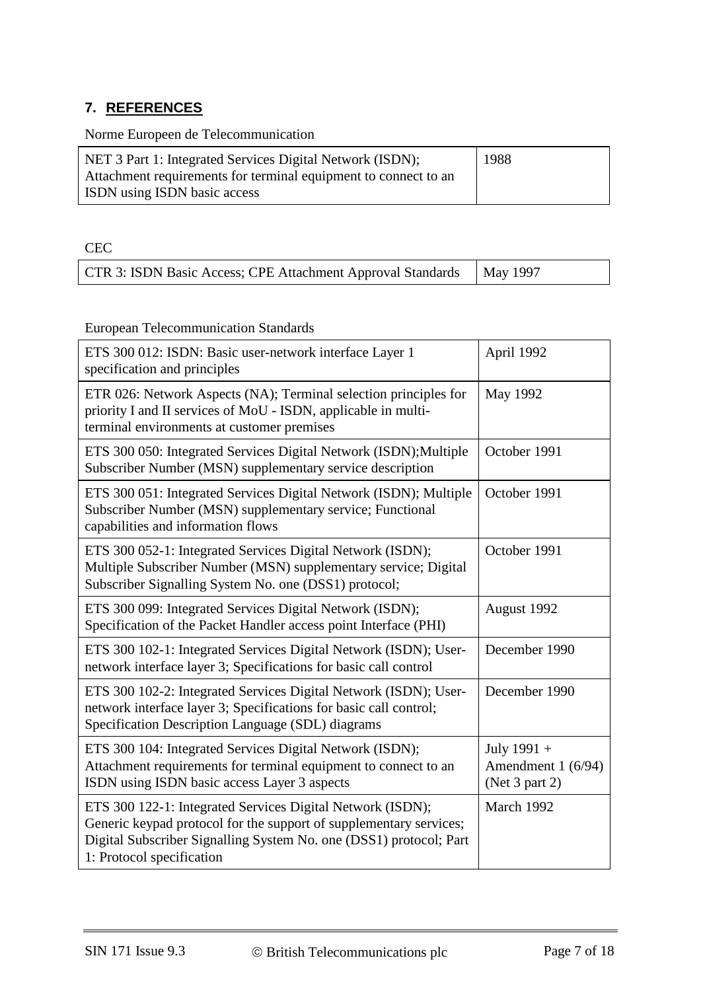# **7. REFERENCES**

Norme Europeen de Telecommunication

| NET 3 Part 1: Integrated Services Digital Network (ISDN);       | 1988 |
|-----------------------------------------------------------------|------|
| Attachment requirements for terminal equipment to connect to an |      |
| <b>ISDN</b> using <b>ISDN</b> basic access                      |      |

**CEC** 

| CTR 3: ISDN Basic Access; CPE Attachment Approval Standards   May 1997 |  |
|------------------------------------------------------------------------|--|
|------------------------------------------------------------------------|--|

European Telecommunication Standards

| ETS 300 012: ISDN: Basic user-network interface Layer 1<br>specification and principles                                                                                                                                             | April 1992                                            |
|-------------------------------------------------------------------------------------------------------------------------------------------------------------------------------------------------------------------------------------|-------------------------------------------------------|
| ETR 026: Network Aspects (NA); Terminal selection principles for<br>priority I and II services of MoU - ISDN, applicable in multi-<br>terminal environments at customer premises                                                    | May 1992                                              |
| ETS 300 050: Integrated Services Digital Network (ISDN); Multiple<br>Subscriber Number (MSN) supplementary service description                                                                                                      | October 1991                                          |
| ETS 300 051: Integrated Services Digital Network (ISDN); Multiple<br>Subscriber Number (MSN) supplementary service; Functional<br>capabilities and information flows                                                                | October 1991                                          |
| ETS 300 052-1: Integrated Services Digital Network (ISDN);<br>Multiple Subscriber Number (MSN) supplementary service; Digital<br>Subscriber Signalling System No. one (DSS1) protocol;                                              | October 1991                                          |
| ETS 300 099: Integrated Services Digital Network (ISDN);<br>Specification of the Packet Handler access point Interface (PHI)                                                                                                        | August 1992                                           |
| ETS 300 102-1: Integrated Services Digital Network (ISDN); User-<br>network interface layer 3; Specifications for basic call control                                                                                                | December 1990                                         |
| ETS 300 102-2: Integrated Services Digital Network (ISDN); User-<br>network interface layer 3; Specifications for basic call control;<br>Specification Description Language (SDL) diagrams                                          | December 1990                                         |
| ETS 300 104: Integrated Services Digital Network (ISDN);<br>Attachment requirements for terminal equipment to connect to an<br>ISDN using ISDN basic access Layer 3 aspects                                                         | July $1991 +$<br>Amendment 1 (6/94)<br>(Net 3 part 2) |
| ETS 300 122-1: Integrated Services Digital Network (ISDN);<br>Generic keypad protocol for the support of supplementary services;<br>Digital Subscriber Signalling System No. one (DSS1) protocol; Part<br>1: Protocol specification | March 1992                                            |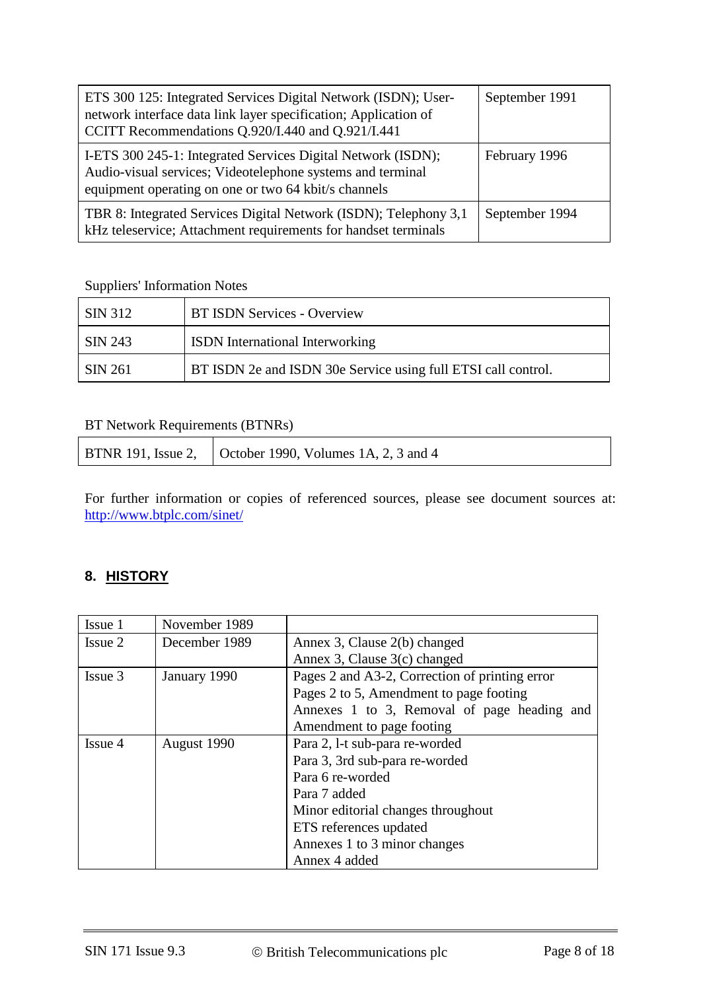| ETS 300 125: Integrated Services Digital Network (ISDN); User-<br>network interface data link layer specification; Application of<br>CCITT Recommendations Q.920/I.440 and Q.921/I.441 | September 1991 |
|----------------------------------------------------------------------------------------------------------------------------------------------------------------------------------------|----------------|
| I-ETS 300 245-1: Integrated Services Digital Network (ISDN);<br>Audio-visual services; Videotelephone systems and terminal<br>equipment operating on one or two 64 kbit/s channels     | February 1996  |
| TBR 8: Integrated Services Digital Network (ISDN); Telephony 3,1<br>kHz teleservice; Attachment requirements for handset terminals                                                     | September 1994 |

Suppliers' Information Notes

| $\overline{\text{SIN}}$ 312 | <b>BT ISDN Services - Overview</b>                            |
|-----------------------------|---------------------------------------------------------------|
| $\sum$ SIN 243              | <b>ISDN</b> International Interworking                        |
| $\sum$ SIN 261              | BT ISDN 2e and ISDN 30e Service using full ETSI call control. |

### BT Network Requirements (BTNRs)

| BTNR 191, Issue 2, $\vert$ October 1990, Volumes 1A, 2, 3 and 4 |
|-----------------------------------------------------------------|
|-----------------------------------------------------------------|

For further information or copies of referenced sources, please see document sources at: http://www.btplc.com/sinet/

# **8. HISTORY**

| Issue 1 | November 1989 |                                                |  |
|---------|---------------|------------------------------------------------|--|
| Issue 2 | December 1989 | Annex 3, Clause 2(b) changed                   |  |
|         |               | Annex 3, Clause 3(c) changed                   |  |
| Issue 3 | January 1990  | Pages 2 and A3-2, Correction of printing error |  |
|         |               | Pages 2 to 5, Amendment to page footing        |  |
|         |               | Annexes 1 to 3, Removal of page heading and    |  |
|         |               | Amendment to page footing                      |  |
| Issue 4 | August 1990   | Para 2, 1-t sub-para re-worded                 |  |
|         |               | Para 3, 3rd sub-para re-worded                 |  |
|         |               | Para 6 re-worded                               |  |
|         |               | Para 7 added                                   |  |
|         |               | Minor editorial changes throughout             |  |
|         |               | ETS references updated                         |  |
|         |               | Annexes 1 to 3 minor changes                   |  |
|         |               | Annex 4 added                                  |  |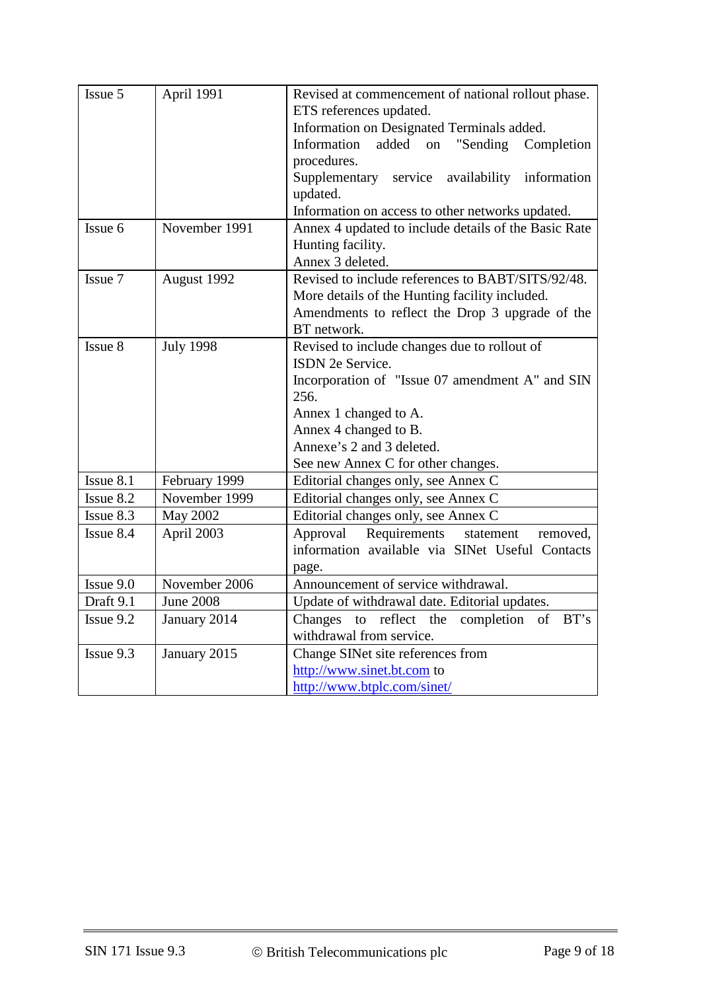| Issue 5   | April 1991       | Revised at commencement of national rollout phase.         |  |  |
|-----------|------------------|------------------------------------------------------------|--|--|
|           |                  | ETS references updated.                                    |  |  |
|           |                  | Information on Designated Terminals added.                 |  |  |
|           |                  | Information<br>added on<br>"Sending<br>Completion          |  |  |
|           |                  | procedures.                                                |  |  |
|           |                  | Supplementary service availability information<br>updated. |  |  |
|           |                  | Information on access to other networks updated.           |  |  |
| Issue 6   | November 1991    | Annex 4 updated to include details of the Basic Rate       |  |  |
|           |                  | Hunting facility.                                          |  |  |
|           |                  | Annex 3 deleted.                                           |  |  |
| Issue 7   | August 1992      | Revised to include references to BABT/SITS/92/48.          |  |  |
|           |                  | More details of the Hunting facility included.             |  |  |
|           |                  | Amendments to reflect the Drop 3 upgrade of the            |  |  |
|           |                  | BT network.                                                |  |  |
| Issue 8   | <b>July 1998</b> | Revised to include changes due to rollout of               |  |  |
|           |                  | <b>ISDN</b> 2e Service.                                    |  |  |
|           |                  | Incorporation of "Issue 07 amendment A" and SIN            |  |  |
|           |                  | 256.                                                       |  |  |
|           |                  | Annex 1 changed to A.                                      |  |  |
|           |                  | Annex 4 changed to B.                                      |  |  |
|           |                  | Annexe's 2 and 3 deleted.                                  |  |  |
|           |                  | See new Annex C for other changes.                         |  |  |
| Issue 8.1 | February 1999    | Editorial changes only, see Annex C                        |  |  |
| Issue 8.2 | November 1999    | Editorial changes only, see Annex C                        |  |  |
| Issue 8.3 | <b>May 2002</b>  | Editorial changes only, see Annex C                        |  |  |
| Issue 8.4 | April 2003       | Requirements<br>Approval<br>statement<br>removed,          |  |  |
|           |                  | information available via SINet Useful Contacts            |  |  |
|           |                  | page.                                                      |  |  |
| Issue 9.0 | November 2006    | Announcement of service withdrawal.                        |  |  |
| Draft 9.1 | <b>June 2008</b> | Update of withdrawal date. Editorial updates.              |  |  |
| Issue 9.2 | January 2014     | Changes to reflect the completion of BT's                  |  |  |
|           |                  | withdrawal from service.                                   |  |  |
| Issue 9.3 | January 2015     | Change SINet site references from                          |  |  |
|           |                  | http://www.sinet.bt.com to                                 |  |  |
|           |                  | http://www.btplc.com/sinet/                                |  |  |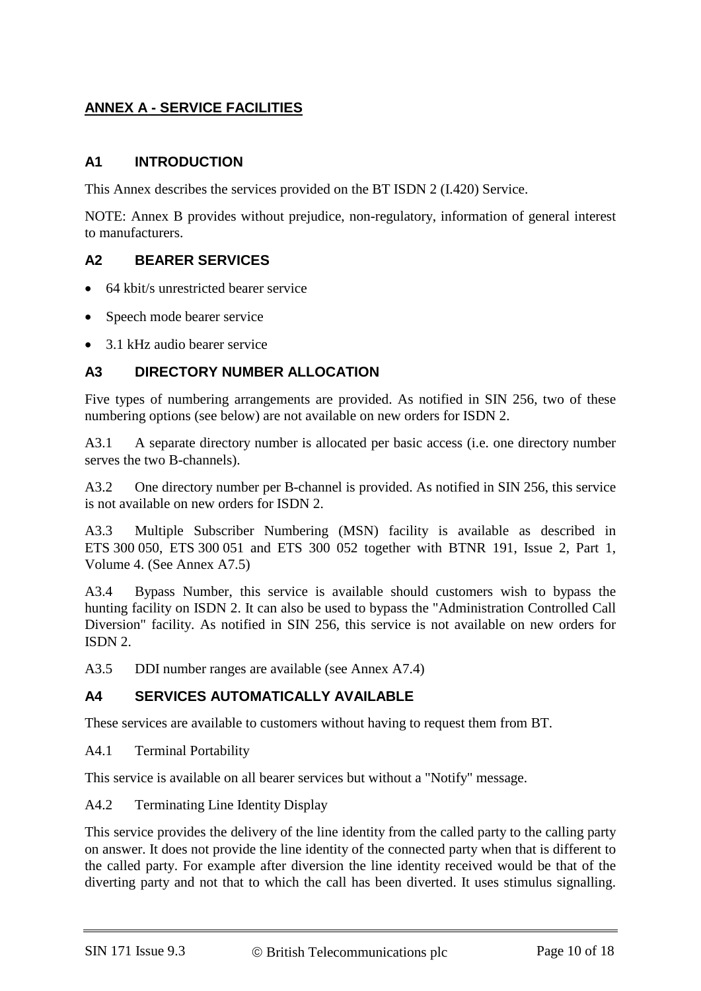# **ANNEX A - SERVICE FACILITIES**

### **A1 INTRODUCTION**

This Annex describes the services provided on the BT ISDN 2 (I.420) Service.

NOTE: Annex B provides without prejudice, non-regulatory, information of general interest to manufacturers.

### **A2 BEARER SERVICES**

- 64 kbit/s unrestricted bearer service
- Speech mode bearer service
- 3.1 kHz audio bearer service

#### **A3 DIRECTORY NUMBER ALLOCATION**

Five types of numbering arrangements are provided. As notified in SIN 256, two of these numbering options (see below) are not available on new orders for ISDN 2.

A3.1 A separate directory number is allocated per basic access (i.e. one directory number serves the two B-channels).

A3.2 One directory number per B-channel is provided. As notified in SIN 256, this service is not available on new orders for ISDN 2.

A3.3 Multiple Subscriber Numbering (MSN) facility is available as described in ETS 300 050, ETS 300 051 and ETS 300 052 together with BTNR 191, Issue 2, Part 1, Volume 4. (See Annex A7.5)

A3.4 Bypass Number, this service is available should customers wish to bypass the hunting facility on ISDN 2. It can also be used to bypass the "Administration Controlled Call Diversion" facility. As notified in SIN 256, this service is not available on new orders for ISDN 2.

A3.5 DDI number ranges are available (see Annex A7.4)

#### **A4 SERVICES AUTOMATICALLY AVAILABLE**

These services are available to customers without having to request them from BT.

A4.1 Terminal Portability

This service is available on all bearer services but without a "Notify" message.

#### A4.2 Terminating Line Identity Display

This service provides the delivery of the line identity from the called party to the calling party on answer. It does not provide the line identity of the connected party when that is different to the called party. For example after diversion the line identity received would be that of the diverting party and not that to which the call has been diverted. It uses stimulus signalling.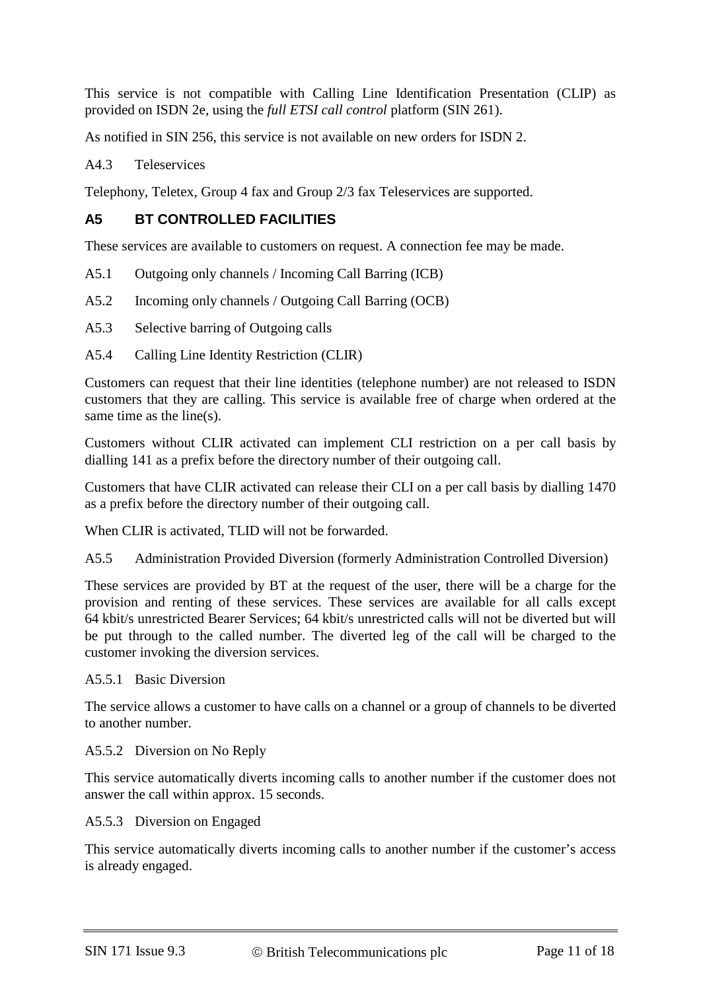This service is not compatible with Calling Line Identification Presentation (CLIP) as provided on ISDN 2e, using the *full ETSI call control* platform (SIN 261).

As notified in SIN 256, this service is not available on new orders for ISDN 2.

A4.3 Teleservices

Telephony, Teletex, Group 4 fax and Group 2/3 fax Teleservices are supported.

# **A5 BT CONTROLLED FACILITIES**

These services are available to customers on request. A connection fee may be made.

- A5.1 Outgoing only channels / Incoming Call Barring (ICB)
- A5.2 Incoming only channels / Outgoing Call Barring (OCB)
- A5.3 Selective barring of Outgoing calls
- A5.4 Calling Line Identity Restriction (CLIR)

Customers can request that their line identities (telephone number) are not released to ISDN customers that they are calling. This service is available free of charge when ordered at the same time as the line(s).

Customers without CLIR activated can implement CLI restriction on a per call basis by dialling 141 as a prefix before the directory number of their outgoing call.

Customers that have CLIR activated can release their CLI on a per call basis by dialling 1470 as a prefix before the directory number of their outgoing call.

When CLIR is activated, TLID will not be forwarded.

A5.5 Administration Provided Diversion (formerly Administration Controlled Diversion)

These services are provided by BT at the request of the user, there will be a charge for the provision and renting of these services. These services are available for all calls except 64 kbit/s unrestricted Bearer Services; 64 kbit/s unrestricted calls will not be diverted but will be put through to the called number. The diverted leg of the call will be charged to the customer invoking the diversion services.

A5.5.1 Basic Diversion

The service allows a customer to have calls on a channel or a group of channels to be diverted to another number.

A5.5.2 Diversion on No Reply

This service automatically diverts incoming calls to another number if the customer does not answer the call within approx. 15 seconds.

A5.5.3 Diversion on Engaged

This service automatically diverts incoming calls to another number if the customer's access is already engaged.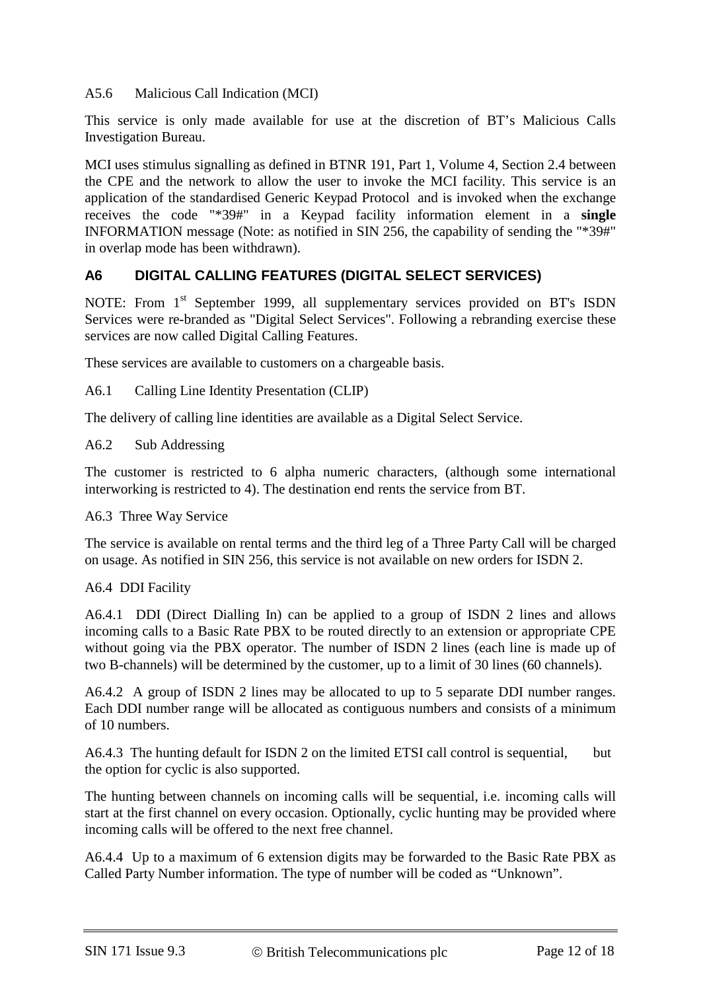#### A5.6 Malicious Call Indication (MCI)

This service is only made available for use at the discretion of BT's Malicious Calls Investigation Bureau.

MCI uses stimulus signalling as defined in BTNR 191, Part 1, Volume 4, Section 2.4 between the CPE and the network to allow the user to invoke the MCI facility. This service is an application of the standardised Generic Keypad Protocol and is invoked when the exchange receives the code "\*39#" in a Keypad facility information element in a **single** INFORMATION message (Note: as notified in SIN 256, the capability of sending the "\*39#" in overlap mode has been withdrawn).

# **A6 DIGITAL CALLING FEATURES (DIGITAL SELECT SERVICES)**

NOTE: From 1<sup>st</sup> September 1999, all supplementary services provided on BT's ISDN Services were re-branded as "Digital Select Services". Following a rebranding exercise these services are now called Digital Calling Features.

These services are available to customers on a chargeable basis.

A6.1 Calling Line Identity Presentation (CLIP)

The delivery of calling line identities are available as a Digital Select Service.

#### A6.2 Sub Addressing

The customer is restricted to 6 alpha numeric characters, (although some international interworking is restricted to 4). The destination end rents the service from BT.

A6.3 Three Way Service

The service is available on rental terms and the third leg of a Three Party Call will be charged on usage. As notified in SIN 256, this service is not available on new orders for ISDN 2.

#### A6.4 DDI Facility

A6.4.1 DDI (Direct Dialling In) can be applied to a group of ISDN 2 lines and allows incoming calls to a Basic Rate PBX to be routed directly to an extension or appropriate CPE without going via the PBX operator. The number of ISDN 2 lines (each line is made up of two B-channels) will be determined by the customer, up to a limit of 30 lines (60 channels).

A6.4.2 A group of ISDN 2 lines may be allocated to up to 5 separate DDI number ranges. Each DDI number range will be allocated as contiguous numbers and consists of a minimum of 10 numbers.

A6.4.3 The hunting default for ISDN 2 on the limited ETSI call control is sequential, but the option for cyclic is also supported.

The hunting between channels on incoming calls will be sequential, i.e. incoming calls will start at the first channel on every occasion. Optionally, cyclic hunting may be provided where incoming calls will be offered to the next free channel.

A6.4.4 Up to a maximum of 6 extension digits may be forwarded to the Basic Rate PBX as Called Party Number information. The type of number will be coded as "Unknown".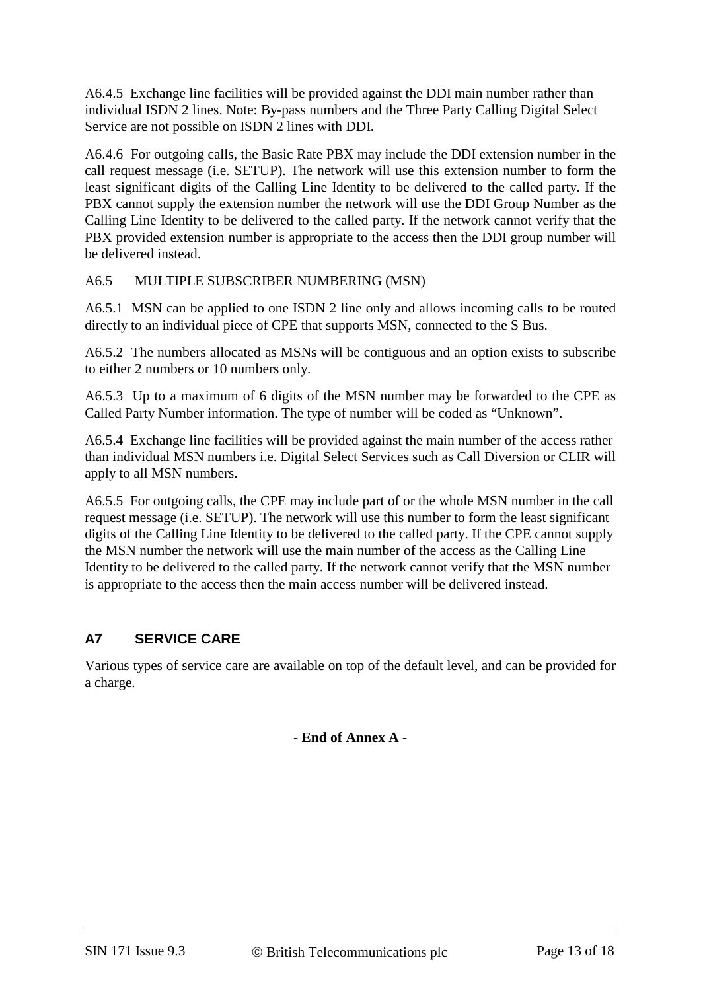A6.4.5 Exchange line facilities will be provided against the DDI main number rather than individual ISDN 2 lines. Note: By-pass numbers and the Three Party Calling Digital Select Service are not possible on ISDN 2 lines with DDI.

A6.4.6 For outgoing calls, the Basic Rate PBX may include the DDI extension number in the call request message (i.e. SETUP). The network will use this extension number to form the least significant digits of the Calling Line Identity to be delivered to the called party. If the PBX cannot supply the extension number the network will use the DDI Group Number as the Calling Line Identity to be delivered to the called party. If the network cannot verify that the PBX provided extension number is appropriate to the access then the DDI group number will be delivered instead.

### A6.5 MULTIPLE SUBSCRIBER NUMBERING (MSN)

A6.5.1 MSN can be applied to one ISDN 2 line only and allows incoming calls to be routed directly to an individual piece of CPE that supports MSN, connected to the S Bus.

A6.5.2 The numbers allocated as MSNs will be contiguous and an option exists to subscribe to either 2 numbers or 10 numbers only.

A6.5.3 Up to a maximum of 6 digits of the MSN number may be forwarded to the CPE as Called Party Number information. The type of number will be coded as "Unknown".

A6.5.4 Exchange line facilities will be provided against the main number of the access rather than individual MSN numbers i.e. Digital Select Services such as Call Diversion or CLIR will apply to all MSN numbers.

A6.5.5 For outgoing calls, the CPE may include part of or the whole MSN number in the call request message (i.e. SETUP). The network will use this number to form the least significant digits of the Calling Line Identity to be delivered to the called party. If the CPE cannot supply the MSN number the network will use the main number of the access as the Calling Line Identity to be delivered to the called party. If the network cannot verify that the MSN number is appropriate to the access then the main access number will be delivered instead.

# **A7 SERVICE CARE**

Various types of service care are available on top of the default level, and can be provided for a charge.

**- End of Annex A -**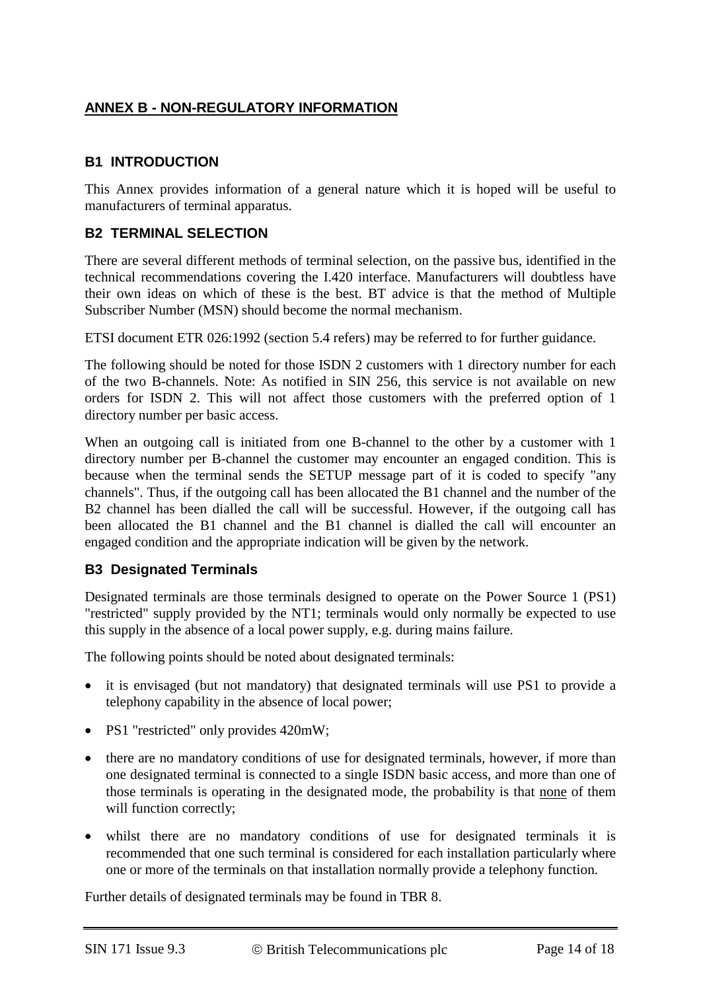# **ANNEX B - NON-REGULATORY INFORMATION**

### **B1 INTRODUCTION**

This Annex provides information of a general nature which it is hoped will be useful to manufacturers of terminal apparatus.

# **B2 TERMINAL SELECTION**

There are several different methods of terminal selection, on the passive bus, identified in the technical recommendations covering the I.420 interface. Manufacturers will doubtless have their own ideas on which of these is the best. BT advice is that the method of Multiple Subscriber Number (MSN) should become the normal mechanism.

ETSI document ETR 026:1992 (section 5.4 refers) may be referred to for further guidance.

The following should be noted for those ISDN 2 customers with 1 directory number for each of the two B-channels. Note: As notified in SIN 256, this service is not available on new orders for ISDN 2. This will not affect those customers with the preferred option of 1 directory number per basic access.

When an outgoing call is initiated from one B-channel to the other by a customer with 1 directory number per B-channel the customer may encounter an engaged condition. This is because when the terminal sends the SETUP message part of it is coded to specify "any channels". Thus, if the outgoing call has been allocated the B1 channel and the number of the B2 channel has been dialled the call will be successful. However, if the outgoing call has been allocated the B1 channel and the B1 channel is dialled the call will encounter an engaged condition and the appropriate indication will be given by the network.

### **B3 Designated Terminals**

Designated terminals are those terminals designed to operate on the Power Source 1 (PS1) "restricted" supply provided by the NT1; terminals would only normally be expected to use this supply in the absence of a local power supply, e.g. during mains failure.

The following points should be noted about designated terminals:

- it is envisaged (but not mandatory) that designated terminals will use PS1 to provide a telephony capability in the absence of local power;
- PS1 "restricted" only provides 420mW;
- there are no mandatory conditions of use for designated terminals, however, if more than one designated terminal is connected to a single ISDN basic access, and more than one of those terminals is operating in the designated mode, the probability is that none of them will function correctly;
- whilst there are no mandatory conditions of use for designated terminals it is recommended that one such terminal is considered for each installation particularly where one or more of the terminals on that installation normally provide a telephony function.

Further details of designated terminals may be found in TBR 8.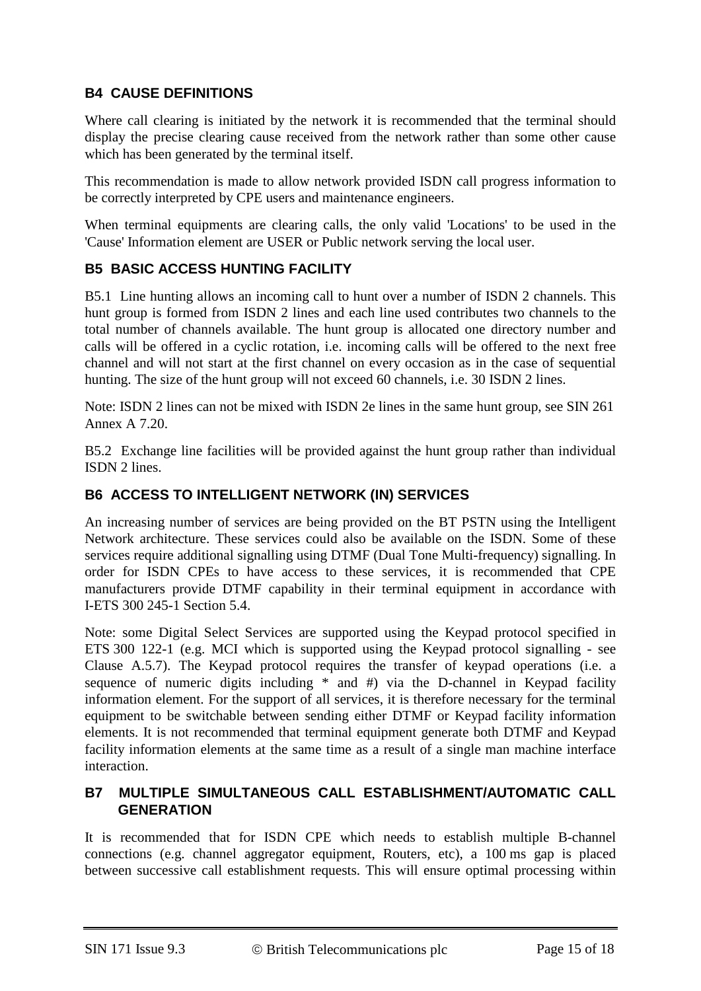### **B4 CAUSE DEFINITIONS**

Where call clearing is initiated by the network it is recommended that the terminal should display the precise clearing cause received from the network rather than some other cause which has been generated by the terminal itself.

This recommendation is made to allow network provided ISDN call progress information to be correctly interpreted by CPE users and maintenance engineers.

When terminal equipments are clearing calls, the only valid 'Locations' to be used in the 'Cause' Information element are USER or Public network serving the local user.

### **B5 BASIC ACCESS HUNTING FACILITY**

B5.1 Line hunting allows an incoming call to hunt over a number of ISDN 2 channels. This hunt group is formed from ISDN 2 lines and each line used contributes two channels to the total number of channels available. The hunt group is allocated one directory number and calls will be offered in a cyclic rotation, i.e. incoming calls will be offered to the next free channel and will not start at the first channel on every occasion as in the case of sequential hunting. The size of the hunt group will not exceed 60 channels, i.e. 30 ISDN 2 lines.

Note: ISDN 2 lines can not be mixed with ISDN 2e lines in the same hunt group, see SIN 261 Annex A 7.20.

B5.2 Exchange line facilities will be provided against the hunt group rather than individual ISDN 2 lines.

### **B6 ACCESS TO INTELLIGENT NETWORK (IN) SERVICES**

An increasing number of services are being provided on the BT PSTN using the Intelligent Network architecture. These services could also be available on the ISDN. Some of these services require additional signalling using DTMF (Dual Tone Multi-frequency) signalling. In order for ISDN CPEs to have access to these services, it is recommended that CPE manufacturers provide DTMF capability in their terminal equipment in accordance with I-ETS 300 245-1 Section 5.4.

Note: some Digital Select Services are supported using the Keypad protocol specified in ETS 300 122-1 (e.g. MCI which is supported using the Keypad protocol signalling - see Clause A.5.7). The Keypad protocol requires the transfer of keypad operations (i.e. a sequence of numeric digits including \* and #) via the D-channel in Keypad facility information element. For the support of all services, it is therefore necessary for the terminal equipment to be switchable between sending either DTMF or Keypad facility information elements. It is not recommended that terminal equipment generate both DTMF and Keypad facility information elements at the same time as a result of a single man machine interface interaction.

### **B7 MULTIPLE SIMULTANEOUS CALL ESTABLISHMENT/AUTOMATIC CALL GENERATION**

It is recommended that for ISDN CPE which needs to establish multiple B-channel connections (e.g. channel aggregator equipment, Routers, etc), a 100 ms gap is placed between successive call establishment requests. This will ensure optimal processing within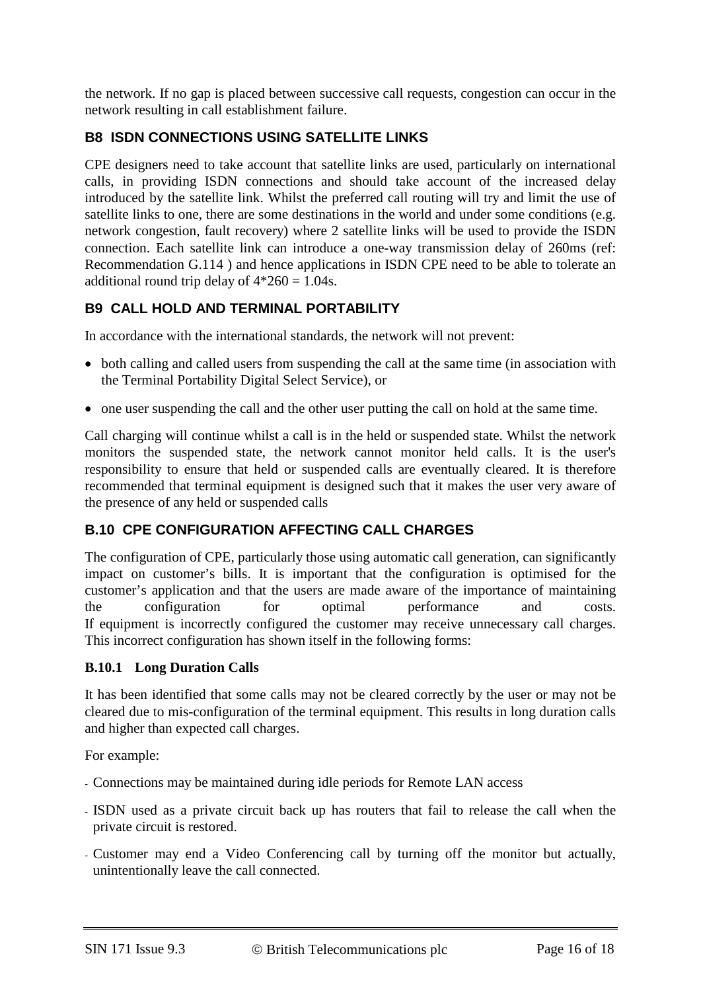the network. If no gap is placed between successive call requests, congestion can occur in the network resulting in call establishment failure.

# **B8 ISDN CONNECTIONS USING SATELLITE LINKS**

CPE designers need to take account that satellite links are used, particularly on international calls, in providing ISDN connections and should take account of the increased delay introduced by the satellite link. Whilst the preferred call routing will try and limit the use of satellite links to one, there are some destinations in the world and under some conditions (e.g. network congestion, fault recovery) where 2 satellite links will be used to provide the ISDN connection. Each satellite link can introduce a one-way transmission delay of 260ms (ref: Recommendation G.114 ) and hence applications in ISDN CPE need to be able to tolerate an additional round trip delay of  $4*260 = 1.04$ s.

# **B9 CALL HOLD AND TERMINAL PORTABILITY**

In accordance with the international standards, the network will not prevent:

- both calling and called users from suspending the call at the same time (in association with the Terminal Portability Digital Select Service), or
- one user suspending the call and the other user putting the call on hold at the same time.

Call charging will continue whilst a call is in the held or suspended state. Whilst the network monitors the suspended state, the network cannot monitor held calls. It is the user's responsibility to ensure that held or suspended calls are eventually cleared. It is therefore recommended that terminal equipment is designed such that it makes the user very aware of the presence of any held or suspended calls

# **B.10 CPE CONFIGURATION AFFECTING CALL CHARGES**

The configuration of CPE, particularly those using automatic call generation, can significantly impact on customer's bills. It is important that the configuration is optimised for the customer's application and that the users are made aware of the importance of maintaining the configuration for optimal performance and costs. If equipment is incorrectly configured the customer may receive unnecessary call charges. This incorrect configuration has shown itself in the following forms:

### **B.10.1 Long Duration Calls**

It has been identified that some calls may not be cleared correctly by the user or may not be cleared due to mis-configuration of the terminal equipment. This results in long duration calls and higher than expected call charges.

For example:

- Connections may be maintained during idle periods for Remote LAN access
- ISDN used as a private circuit back up has routers that fail to release the call when the private circuit is restored.
- Customer may end a Video Conferencing call by turning off the monitor but actually, unintentionally leave the call connected.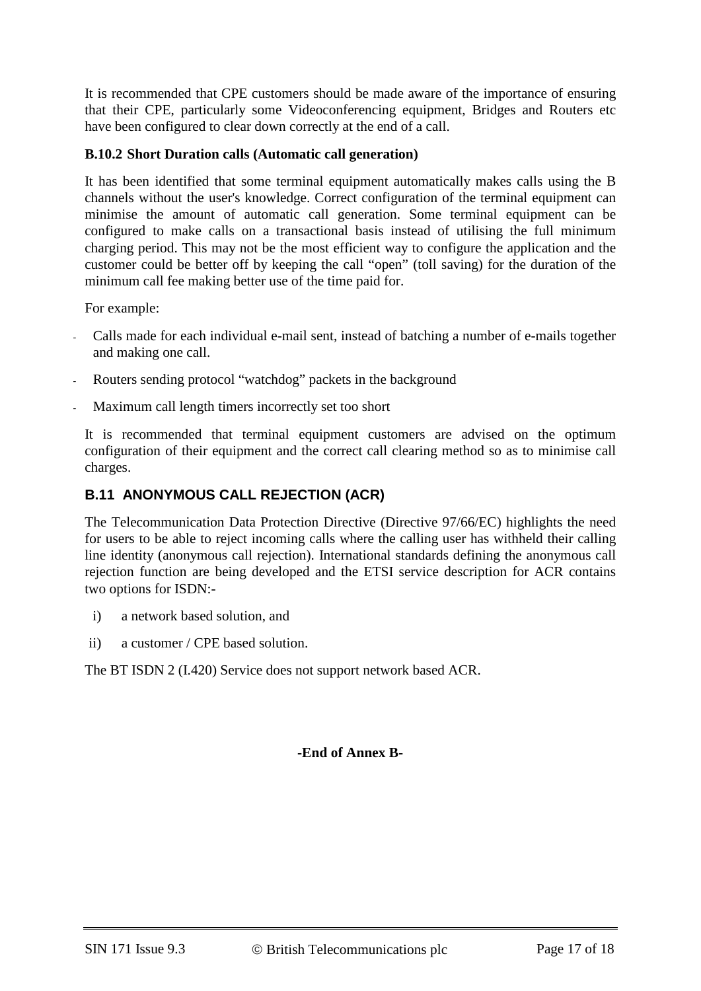It is recommended that CPE customers should be made aware of the importance of ensuring that their CPE, particularly some Videoconferencing equipment, Bridges and Routers etc have been configured to clear down correctly at the end of a call.

### **B.10.2 Short Duration calls (Automatic call generation)**

It has been identified that some terminal equipment automatically makes calls using the B channels without the user's knowledge. Correct configuration of the terminal equipment can minimise the amount of automatic call generation. Some terminal equipment can be configured to make calls on a transactional basis instead of utilising the full minimum charging period. This may not be the most efficient way to configure the application and the customer could be better off by keeping the call "open" (toll saving) for the duration of the minimum call fee making better use of the time paid for.

For example:

- Calls made for each individual e-mail sent, instead of batching a number of e-mails together and making one call.
- Routers sending protocol "watchdog" packets in the background
- Maximum call length timers incorrectly set too short

It is recommended that terminal equipment customers are advised on the optimum configuration of their equipment and the correct call clearing method so as to minimise call charges.

### **B.11 ANONYMOUS CALL REJECTION (ACR)**

The Telecommunication Data Protection Directive (Directive 97/66/EC) highlights the need for users to be able to reject incoming calls where the calling user has withheld their calling line identity (anonymous call rejection). International standards defining the anonymous call rejection function are being developed and the ETSI service description for ACR contains two options for ISDN:-

- i) a network based solution, and
- ii) a customer / CPE based solution.

The BT ISDN 2 (I.420) Service does not support network based ACR.

#### **-End of Annex B-**